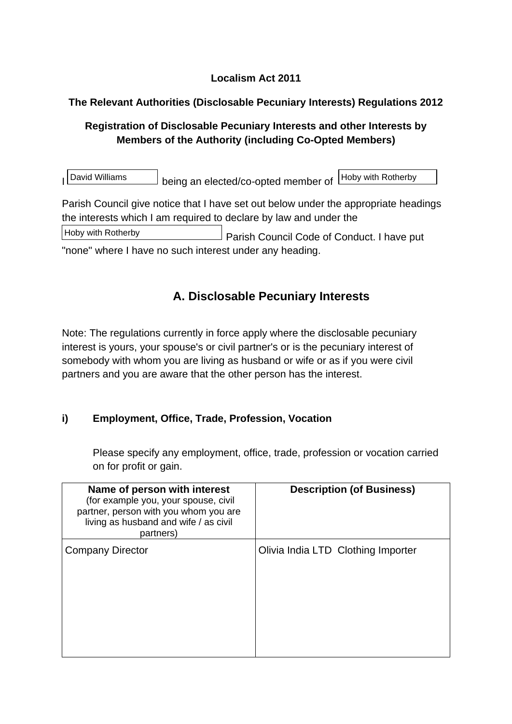## **Localism Act 2011**

## **The Relevant Authorities (Disclosable Pecuniary Interests) Regulations 2012**

## **Registration of Disclosable Pecuniary Interests and other Interests by Members of the Authority (including Co-Opted Members)**

| David Williams | being an elected/co-opted member of Hoby with Rotherby

Parish Council give notice that I have set out below under the appropriate headings the interests which I am required to declare by law and under the

Parish Council Code of Conduct. I have put Hoby with Rotherby

"none" where I have no such interest under any heading.

## **A. Disclosable Pecuniary Interests**

Note: The regulations currently in force apply where the disclosable pecuniary interest is yours, your spouse's or civil partner's or is the pecuniary interest of somebody with whom you are living as husband or wife or as if you were civil partners and you are aware that the other person has the interest.

## **i) Employment, Office, Trade, Profession, Vocation**

Please specify any employment, office, trade, profession or vocation carried on for profit or gain.

| Name of person with interest<br>(for example you, your spouse, civil<br>partner, person with you whom you are<br>living as husband and wife / as civil<br>partners) | <b>Description (of Business)</b>   |
|---------------------------------------------------------------------------------------------------------------------------------------------------------------------|------------------------------------|
| <b>Company Director</b>                                                                                                                                             | Olivia India LTD Clothing Importer |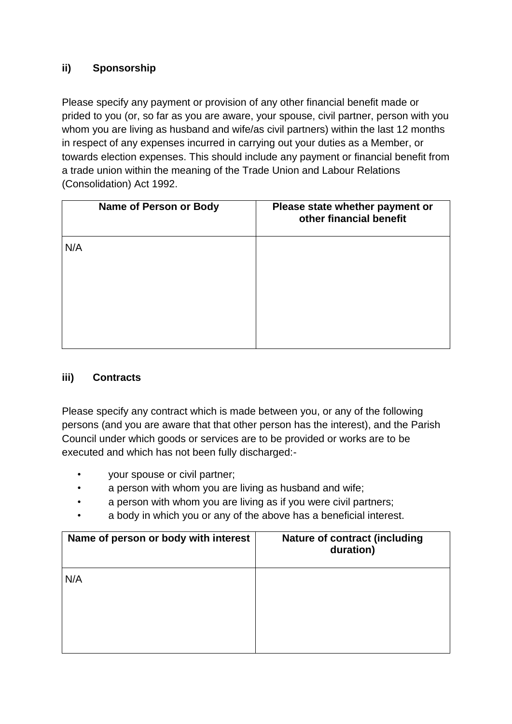### **ii) Sponsorship**

Please specify any payment or provision of any other financial benefit made or prided to you (or, so far as you are aware, your spouse, civil partner, person with you whom you are living as husband and wife/as civil partners) within the last 12 months in respect of any expenses incurred in carrying out your duties as a Member, or towards election expenses. This should include any payment or financial benefit from a trade union within the meaning of the Trade Union and Labour Relations (Consolidation) Act 1992.

| Name of Person or Body | Please state whether payment or<br>other financial benefit |
|------------------------|------------------------------------------------------------|
| N/A                    |                                                            |

#### **iii) Contracts**

Please specify any contract which is made between you, or any of the following persons (and you are aware that that other person has the interest), and the Parish Council under which goods or services are to be provided or works are to be executed and which has not been fully discharged:-

- your spouse or civil partner;
- a person with whom you are living as husband and wife;
- a person with whom you are living as if you were civil partners;
- a body in which you or any of the above has a beneficial interest.

| Name of person or body with interest | <b>Nature of contract (including</b><br>duration) |
|--------------------------------------|---------------------------------------------------|
| N/A                                  |                                                   |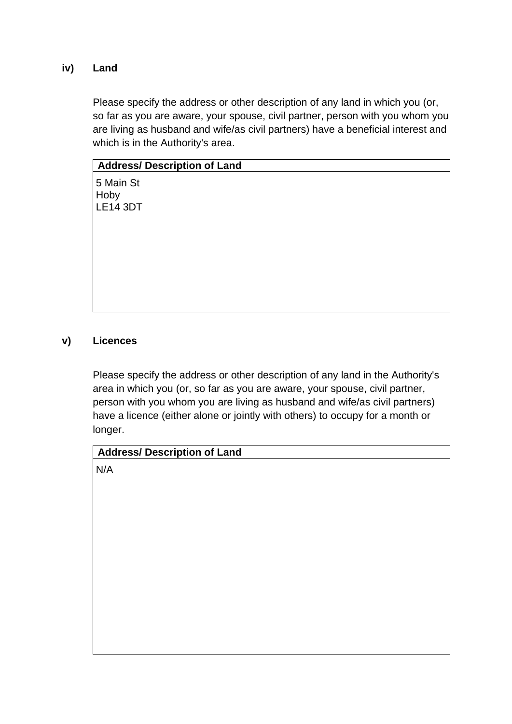#### **iv) Land**

Please specify the address or other description of any land in which you (or, so far as you are aware, your spouse, civil partner, person with you whom you are living as husband and wife/as civil partners) have a beneficial interest and which is in the Authority's area.

| <b>Address/ Description of Land</b> |
|-------------------------------------|
| 5 Main St<br>Hoby<br>LE14 3DT       |
|                                     |
|                                     |
|                                     |

#### **v) Licences**

Please specify the address or other description of any land in the Authority's area in which you (or, so far as you are aware, your spouse, civil partner, person with you whom you are living as husband and wife/as civil partners) have a licence (either alone or jointly with others) to occupy for a month or longer.

| <b>Address/ Description of Land</b> |  |  |
|-------------------------------------|--|--|
| N/A                                 |  |  |
|                                     |  |  |
|                                     |  |  |
|                                     |  |  |
|                                     |  |  |
|                                     |  |  |
|                                     |  |  |
|                                     |  |  |
|                                     |  |  |
|                                     |  |  |
|                                     |  |  |
|                                     |  |  |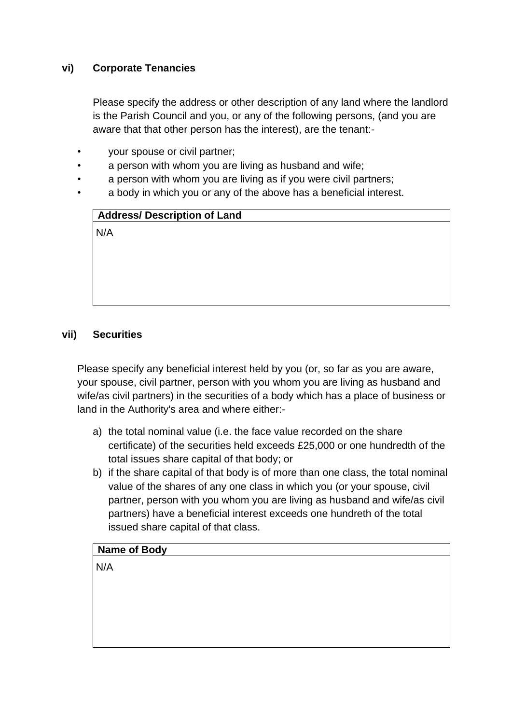#### **vi) Corporate Tenancies**

Please specify the address or other description of any land where the landlord is the Parish Council and you, or any of the following persons, (and you are aware that that other person has the interest), are the tenant:-

- your spouse or civil partner;
- a person with whom you are living as husband and wife;
- a person with whom you are living as if you were civil partners;
- a body in which you or any of the above has a beneficial interest.

| <b>Address/ Description of Land</b> |  |
|-------------------------------------|--|
| N/A                                 |  |

#### **vii) Securities**

Please specify any beneficial interest held by you (or, so far as you are aware, your spouse, civil partner, person with you whom you are living as husband and wife/as civil partners) in the securities of a body which has a place of business or land in the Authority's area and where either:-

- a) the total nominal value (i.e. the face value recorded on the share certificate) of the securities held exceeds £25,000 or one hundredth of the total issues share capital of that body; or
- b) if the share capital of that body is of more than one class, the total nominal value of the shares of any one class in which you (or your spouse, civil partner, person with you whom you are living as husband and wife/as civil partners) have a beneficial interest exceeds one hundreth of the total issued share capital of that class.

#### **Name of Body**

N/A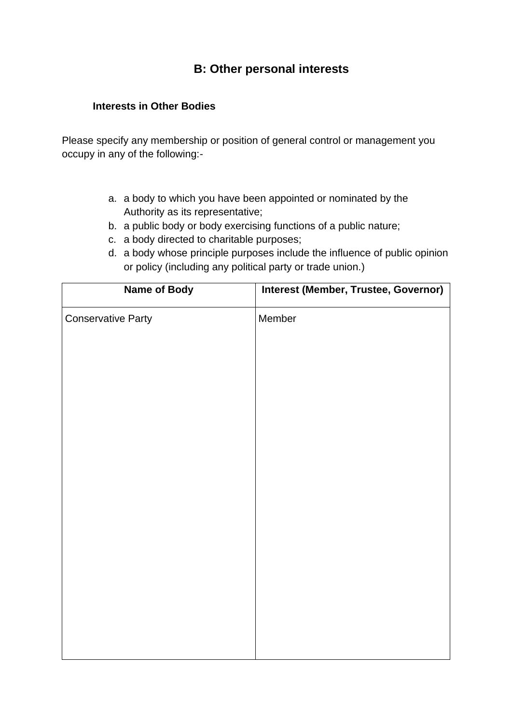## **B: Other personal interests**

#### **Interests in Other Bodies**

Please specify any membership or position of general control or management you occupy in any of the following:-

- a. a body to which you have been appointed or nominated by the Authority as its representative;
- b. a public body or body exercising functions of a public nature;
- c. a body directed to charitable purposes;
- d. a body whose principle purposes include the influence of public opinion or policy (including any political party or trade union.)

| <b>Name of Body</b>       | Interest (Member, Trustee, Governor) |
|---------------------------|--------------------------------------|
| <b>Conservative Party</b> | Member                               |
|                           |                                      |
|                           |                                      |
|                           |                                      |
|                           |                                      |
|                           |                                      |
|                           |                                      |
|                           |                                      |
|                           |                                      |
|                           |                                      |
|                           |                                      |
|                           |                                      |
|                           |                                      |
|                           |                                      |
|                           |                                      |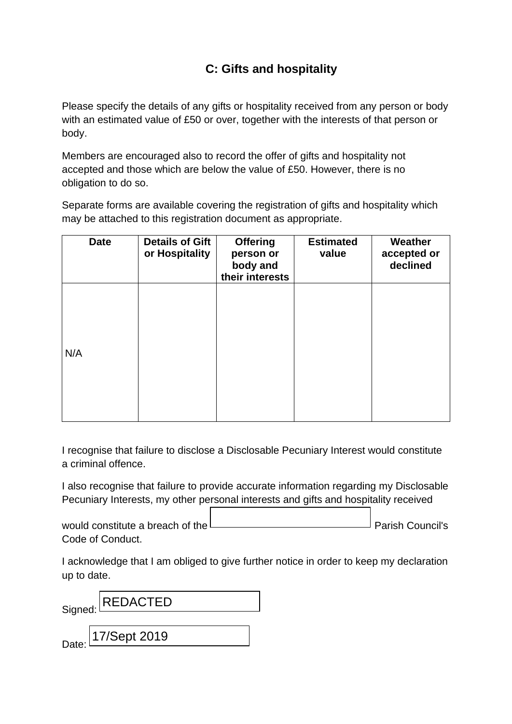# **C: Gifts and hospitality**

Please specify the details of any gifts or hospitality received from any person or body with an estimated value of £50 or over, together with the interests of that person or body.

Members are encouraged also to record the offer of gifts and hospitality not accepted and those which are below the value of £50. However, there is no obligation to do so.

Separate forms are available covering the registration of gifts and hospitality which may be attached to this registration document as appropriate.

| <b>Date</b> | <b>Details of Gift</b><br>or Hospitality | <b>Offering</b><br>person or<br>body and<br>their interests | <b>Estimated</b><br>value | Weather<br>accepted or<br>declined |
|-------------|------------------------------------------|-------------------------------------------------------------|---------------------------|------------------------------------|
| N/A         |                                          |                                                             |                           |                                    |
|             |                                          |                                                             |                           |                                    |

I recognise that failure to disclose a Disclosable Pecuniary Interest would constitute a criminal offence.

I also recognise that failure to provide accurate information regarding my Disclosable Pecuniary Interests, my other personal interests and gifts and hospitality received

would constitute a breach of the  $\Box$ Code of Conduct.

I acknowledge that I am obliged to give further notice in order to keep my declaration up to date.

Signed: Date: REDACTED 17/Sept 2019